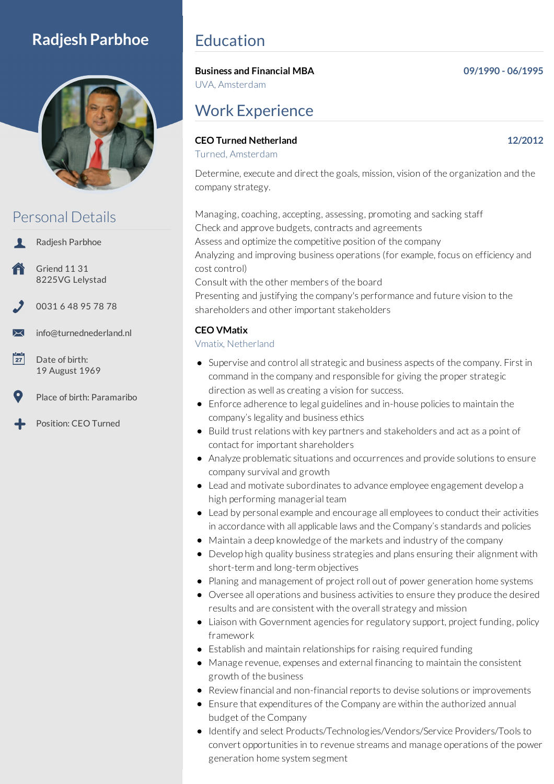# **Radjesh Parbhoe**



# Personal Details

Radjesh Parbhoe

- Griend 11 31 8225VG Lelystad
- 0031 6 48 95 78 78
- info@turnednederland.nl
- $\overline{27}$ Date of birth: 19 August 1969
	- Place of birth: Paramaribo
- Position: CEO Turned

# Education

## **Business and Financial MBA 09/1990 - 06/1995**

UVA, Amsterdam

# Work Experience

## **CEO Turned Netherland 12/2012**

Turned, Amsterdam

Determine, execute and direct the goals, mission, vision of the organization and the company strategy.

Managing, coaching, accepting, assessing, promoting and sacking staff Check and approve budgets, contracts and agreements Assess and optimize the competitive position of the company Analyzing and improving business operations (for example, focus on efficiency and cost control) Consult with the other members of the board

Presenting and justifying the company's performance and future vision to the shareholders and other important stakeholders

## **CEO VMatix**

### Vmatix, Netherland

- Supervise and control all strategic and business aspects of the company. First in command in the company and responsible for giving the proper strategic direction as well as creating a vision for success.
- Enforce adherence to legal guidelines and in-house policies to maintain the company's legality and business ethics
- Build trust relations with key partners and stakeholders and act as a point of contact for important shareholders
- Analyze problematic situations and occurrences and provide solutions to ensure company survival and growth
- Lead and motivate subordinates to advance employee engagement develop a high performing managerial team
- Lead by personal example and encourage all employees to conduct their activities in accordance with all applicable laws and the Company's standards and policies
- Maintain a deep knowledge of the markets and industry of the company
- Develop high quality business strategies and plans ensuring their alignment with short-term and long-term objectives
- Planing and management of project roll out of power generation home systems
- Oversee all operations and business activities to ensure they produce the desired results and are consistent with the overall strategy and mission
- Liaison with Government agencies for regulatory support, project funding, policy framework
- Establish and maintain relationships for raising required funding
- Manage revenue, expenses and external financing to maintain the consistent growth of the business
- Review financial and non-financial reports to devise solutions or improvements
- Ensure that expenditures of the Company are within the authorized annual budget of the Company
- Identify and select Products/Technologies/Vendors/Service Providers/Tools to convert opportunities in to revenue streams and manage operations of the power generation home system segment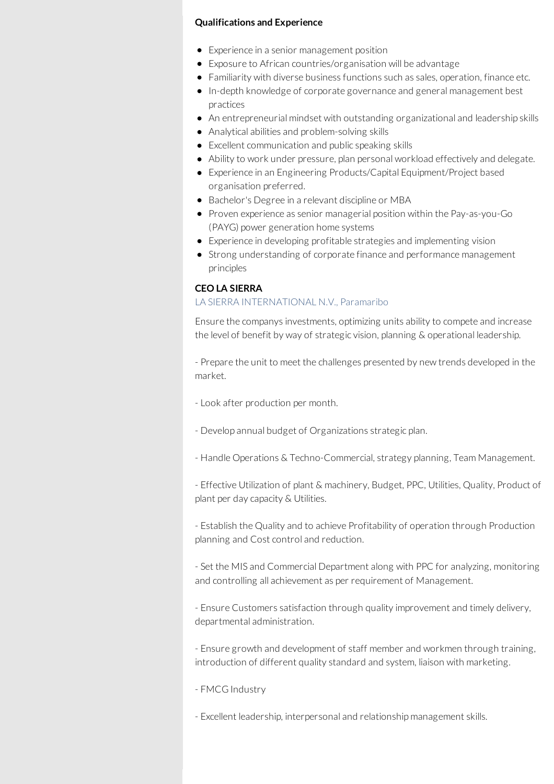#### **Qualifications and Experience**

- Experience in a senior management position
- Exposure to African countries/organisation will be advantage
- Familiarity with diverse business functions such as sales, operation, finance etc.
	- In-depth knowledge of corporate governance and general management best practices
	- An entrepreneurial mindset with outstanding organizational and leadership skills
	- Analytical abilities and problem-solving skills
	- Excellent communication and public speaking skills
	- Ability to work under pressure, plan personal workload effectively and delegate.
	- Experience in an Engineering Products/Capital Equipment/Project based organisation preferred.
	- Bachelor's Degree in a relevant discipline or MBA
	- Proven experience as senior managerial position within the Pay-as-you-Go (PAYG) power generation home systems
	- Experience in developing profitable strategies and implementing vision
	- Strong understanding of corporate finance and performance management principles

#### **CEO LA SIERRA**

#### LA SIERRA INTERNATIONAL N.V., Paramaribo

Ensure the companys investments, optimizing units ability to compete and increase the level of benefit by way of strategic vision, planning & operational leadership.

- Prepare the unit to meet the challenges presented by new trends developed in the market.

- Look after production per month.
- Develop annual budget of Organizations strategic plan.
- Handle Operations & Techno-Commercial, strategy planning, Team Management.

- Effective Utilization of plant & machinery, Budget, PPC, Utilities, Quality, Product of plant per day capacity & Utilities.

- Establish the Quality and to achieve Profitability of operation through Production planning and Cost control and reduction.

- Set the MIS and Commercial Department along with PPC for analyzing, monitoring and controlling all achievement as per requirement of Management.

- Ensure Customers satisfaction through quality improvement and timely delivery, departmental administration.

- Ensure growth and development of staff member and workmen through training, introduction of different quality standard and system, liaison with marketing.

- FMCG Industry
- Excellent leadership, interpersonal and relationship management skills.